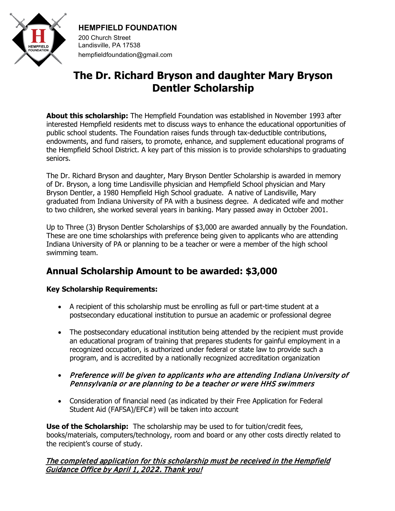

# **HEMPFIELD FOUNDATION**

200 Church Street Landisville, PA 17538 hempfieldfoundation@gmail.com

# **The Dr. Richard Bryson and daughter Mary Bryson Dentler Scholarship**

**About this scholarship:** The Hempfield Foundation was established in November 1993 after interested Hempfield residents met to discuss ways to enhance the educational opportunities of public school students. The Foundation raises funds through tax-deductible contributions, endowments, and fund raisers, to promote, enhance, and supplement educational programs of the Hempfield School District. A key part of this mission is to provide scholarships to graduating seniors.

The Dr. Richard Bryson and daughter, Mary Bryson Dentler Scholarship is awarded in memory of Dr. Bryson, a long time Landisville physician and Hempfield School physician and Mary Bryson Dentler, a 1980 Hempfield High School graduate. A native of Landisville, Mary graduated from Indiana University of PA with a business degree. A dedicated wife and mother to two children, she worked several years in banking. Mary passed away in October 2001.

Up to Three (3) Bryson Dentler Scholarships of \$3,000 are awarded annually by the Foundation. These are one time scholarships with preference being given to applicants who are attending Indiana University of PA or planning to be a teacher or were a member of the high school swimming team.

# **Annual Scholarship Amount to be awarded: \$3,000**

### **Key Scholarship Requirements:**

- A recipient of this scholarship must be enrolling as full or part-time student at a postsecondary educational institution to pursue an academic or professional degree
- The postsecondary educational institution being attended by the recipient must provide an educational program of training that prepares students for gainful employment in a recognized occupation, is authorized under federal or state law to provide such a program, and is accredited by a nationally recognized accreditation organization
- Preference will be given to applicants who are attending Indiana University of Pennsylvania or are planning to be a teacher or were HHS swimmers
- Consideration of financial need (as indicated by their Free Application for Federal Student Aid (FAFSA)/EFC#) will be taken into account

**Use of the Scholarship:** The scholarship may be used to for tuition/credit fees, books/materials, computers/technology, room and board or any other costs directly related to the recipient's course of study.

#### The completed application for this scholarship must be received in the Hempfield Guidance Office by April 1, 202**2**. Thank you!